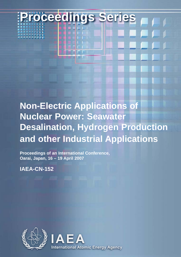# **Proceedings Seri**

## **Non-Electric Applications of Nuclear Power: Seawater Desalination, Hydrogen Production and other Industrial Applications**

**Proceedings of an International Conference, Oarai, Japan, 16 – 19 April 2007**

**IAEA-CN-152**



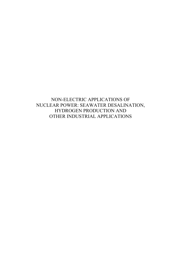NON-ELECTRIC APPLICATIONS OF NUCLEAR POWER: SEAWATER DESALINATION, HYDROGEN PRODUCTION AND OTHER INDUSTRIAL APPLICATIONS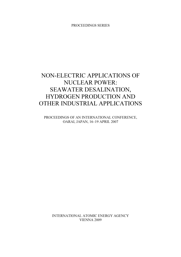PROCEEDINGS SERIES

### NON-ELECTRIC APPLICATIONS OF NUCLEAR POWER: SEAWATER DESALINATION, HYDROGEN PRODUCTION AND OTHER INDUSTRIAL APPLICATIONS

PROCEEDINGS OF AN INTERNATIONAL CONFERENCE, OARAI, JAPAN, 16–19 APRIL 2007

INTERNATIONAL ATOMIC ENERGY AGENCY VIENNA 2009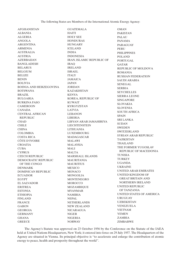The following States are Members of the International Atomic Energy Agency:

AFGHANISTAN ALBANIA ALGERIA ANGOLA ARGENTINA ARMENIA AUSTRALIA **AUSTRIA** AZERBAIJAN BANGLADESH BELARUS BELGIUM BELIZE BENIN BOLIVIA BOSNIA AND HERZEGOVINA BOTSWANA BRAZIL BULGARIA BURKINA FASO **CAMEROON** CANADA CENTRAL AFRICAN REPUBLIC **CHAD CHILE CHINA** COLOMBIA COSTA RICA CÔTE D'IVOIRE CROATIA **CUBA CYPRUS** CZECH REPUBLIC DEMOCRATIC REPUBLIC OF THE CONGO DENMARK DOMINICAN REPUBLIC ECUADOR EGYPT EL SALVADOR ERITREA ESTONIA ETHIOPIA FINLAND FRANCE **GABON** GEORGIA GERMANY GHANA **GREECE** 

GUATEMALA HAITI HOLY SEE HONDURAS **HUNGARY** ICELAND INDIA INDONESIA IRAN, ISLAMIC REPUBLIC OF IR $AO$ IRELAND ISRAEL **ITALY** JAMAICA JAPAN JORDAN KAZAKHSTAN KENYA KOREA, REPUBLIC OF KUWAIT KYRGYZSTAN LATVIA LEBANON LIBERIA LIBYAN ARAB JAMAHIRIYA LIECHTENSTEIN LITHUANIA **LUXEMBOURG** MADAGASCAR MALAWI MALAYSIA MALI MALTA MARSHALL ISLANDS MAURITANIA **MAURITIUS MEXICO** MONACO MONGOLIA **MONTENEGRO MOROCCO MOZAMBIOUE** MYANMAR NAMIBIA NEPAL NETHERLANDS NEW ZEALAND NICARAGUA NIGER NIGERIA **NORWAY** 

**OMAN** PAKISTAN PALAU PANAMA PARAGUAY **PERU** PHILIPPINES POLAND PORTUGAL **OATAR** REPUBLIC OF MOLDOVA ROMANIA RUSSIAN FEDERATION SAUDI ARABIA SENEGAL SERBIA SEYCHELLES SIERRA LEONE SINGAPORE SLOVAKIA SLOVENIA SOUTH AFRICA **SPAIN** SRI LANKA **SUDAN** SWEDEN SWITZERLAND SYRIAN ARAB REPUBLIC TAJIKISTAN THAILAND THE FORMER YUGOSLAV REPUBLIC OF MACEDONIA TUNISIA TURKEY UGANDA UKRAINE UNITED ARAB EMIRATES UNITED KINGDOM OF GREAT BRITAIN AND NORTHERN IRELAND UNITED REPUBLIC OF TANZANIA UNITED STATES OF AMERICA URUGUAY UZBEKISTAN VENEZUELA VIETNAM YEMEN ZAMBIA ZIMBABWE

The Agency's Statute was approved on 23 October 1956 by the Conference on the Statute of the IAEA held at United Nations Headquarters, New York; it entered into force on 29 July 1957. The Headquarters of the Agency are situated in Vienna. Its principal objective is "to accelerate and enlarge the contribution of atomic energy to peace, health and prosperity throughout the world''.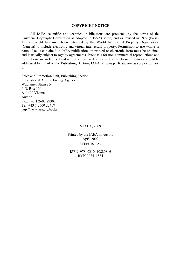#### COPYRIGHT NOTICE

All IAEA scientific and technical publications are protected by the terms of the Universal Copyright Convention as adopted in 1952 (Berne) and as revised in 1972 (Paris). The copyright has since been extended by the World Intellectual Property Organization (Geneva) to include electronic and virtual intellectual property. Permission to use whole or parts of texts contained in IAEA publications in printed or electronic form must be obtained and is usually subject to royalty agreements. Proposals for non-commercial reproductions and translations are welcomed and will be considered on a case by case basis. Enquiries should be addressed by email to the Publishing Section, IAEA, at sales.publications@iaea.org or by post to:

Sales and Promotion Unit, Publishing Section International Atomic Energy Agency Wagramer Strasse 5 P.O. Box 100 A–1400 Vienna Austria Fax: +43 1 2600 29302 Tel: +43 1 2600 22417 http://www.iaea.org/books

© IAEA, 2009

Printed by the IAEA in Austria April 2009 STI/PUB/1354

ISBN–978–92–0–108808–6 ISSN 0074–1884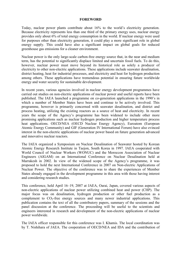#### **FOREWORD**

Today, nuclear power plants contribute about 16% to the world's electricity generation. Because electricity represents less than one third of the primary energy uses, nuclear energy provides only about 6% of total energy consumption in the world. If nuclear energy were used for purposes other than electricity generation, it could play a more significant role in global energy supply. This could have also a significant impact on global goals for reduced greenhouse gas emissions for a cleaner environment.

Nuclear power is the only large-scale carbon-free energy source that, in the near and medium term, has the potential to significantly displace limited and uncertain fossil fuels. To do this, however, nuclear power must move beyond its historical role as solely a producer of electricity to other non-electric applications. These applications include seawater desalination, district heating, heat for industrial processes, and electricity and heat for hydrogen production among others. These applications have tremendous potential in ensuring future worldwide energy and water security for sustainable development.

In recent years, various agencies involved in nuclear energy development programmes have carried out studies on non-electric applications of nuclear power and useful reports have been published. The IAEA launched a programme on co-generation applications in the 1990's in which a number of Member States have been and continue to be actively involved. This programme, however is primarily concerned with seawater desalination, and district and process heating, utilizing the existing reactors as a source of heat and electricity. In recent years the scope of the Agency's programme has been widened to include other more promising applications such as nuclear hydrogen production and higher temperature process heat applications. OECD/NEA (OECD Nuclear Energy Agency), Euroatom (European Atomic Energy Community) and GIF (Generation IV International Forum) have also evinced interest in the non-electric applications of nuclear power based on future generation advanced and innovative nuclear reactors.

The IAEA organized a Symposium on Nuclear Desalination of Seawater hosted by Korean Atomic Energy Research Institute in Taejon, South Korea in 1997. IAEA cooperated with World Council of Nuclear Workers (WONUC) and the Moroccon Association of Nuclear Engineers (AIGAM) on an International Conference on Nuclear Desalination held at Marrakesh in 2002. In view of the widened scope of the Agency's programme, it was proposed to hold the next International Conference in 2007 on Non-electric Applications of Nuclear Power. The objective of the conference was to share the experiences of Member States already engaged in the development programme in this area with those having interest and considering research studies.

This conference, held April 16–19, 2007 at JAEA, Oarai, Japan, covered various aspects of non-electric applications of nuclear power utilizing combined heat and power (CHP). The major focus was on desalination, hydrogen production or other fuel production as a complement to  $CO<sub>2</sub>$ -free energy sources and many newer industrial applications. This publication contains the text of all the contributory papers, summary of the sessions and the panel discussion at the conference. The proceeding will be useful to the scientists and engineers interested in research and development of the non-electric applications of nuclear power worldwide.

The IAEA officer responsible for this conference was I. Khamis. The local coordination was by T. Nishihara of JAEA. The cooperation of OECD/NEA and IDA and the contribution of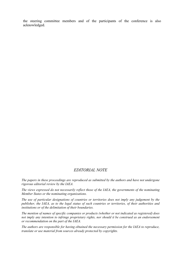the steering committee members and of the participants of the conference is also acknowledged.

#### *EDITORIAL NOTE*

*The papers in these proceedings are reproduced as submitted by the authors and have not undergone rigorous editorial review by the IAEA.* 

*The views expressed do not necessarily reflect those of the IAEA, the governments of the nominating Member States or the nominating organizations.* 

*The use of particular designations of countries or territories does not imply any judgement by the publisher, the IAEA, as to the legal status of such countries or territories, of their authorities and institutions or of the delimitation of their boundaries.* 

*The mention of names of specific companies or products (whether or not indicated as registered) does not imply any intention to infringe proprietary rights, nor should it be construed as an endorsement or recommendation on the part of the IAEA.* 

*The authors are responsible for having obtained the necessary permission for the IAEA to reproduce, translate or use material from sources already protected by copyrights.*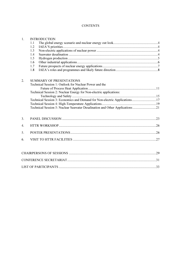#### **CONTENTS**

| 1. |     | <b>INTRODUCTION</b>                                                         |  |  |
|----|-----|-----------------------------------------------------------------------------|--|--|
|    | 1.1 |                                                                             |  |  |
|    | 1.2 |                                                                             |  |  |
|    | 1.3 |                                                                             |  |  |
|    | 1.4 |                                                                             |  |  |
|    | 1.5 |                                                                             |  |  |
|    | 1.6 |                                                                             |  |  |
|    | 1.7 |                                                                             |  |  |
|    | 1.8 |                                                                             |  |  |
| 2. |     | <b>SUMMARY OF PRESENTATIONS</b>                                             |  |  |
|    |     | Technical Session 1: Outlook for Nuclear Power and the                      |  |  |
|    |     |                                                                             |  |  |
|    |     | Technical Session 2: Nuclear Energy for Non-electric applications:          |  |  |
|    |     |                                                                             |  |  |
|    |     | Technical Session 3: Economics and Demand for Non-electric Applications17   |  |  |
|    |     |                                                                             |  |  |
|    |     | Technical Session 5: Nuclear Seawater Desalination and Other Applications21 |  |  |
| 3. |     |                                                                             |  |  |
| 4. |     |                                                                             |  |  |
| 5. |     |                                                                             |  |  |
| 6. |     |                                                                             |  |  |
|    |     |                                                                             |  |  |
|    |     |                                                                             |  |  |
|    |     |                                                                             |  |  |
|    |     |                                                                             |  |  |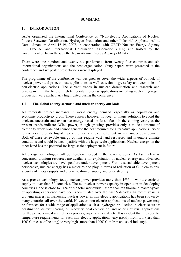#### **SUMMARY**

#### **1. INTRODUCTION**

IAEA organized the International Conference on "Non-electric Applications of Nuclear Power: Seawater Desalination, Hydrogen Production and other Industrial Applications" at Oarai, Japan on April 16-19, 2007, in cooperation with OECD Nuclear Energy Agency (OECD/NEA) and International Desalination Association (IDA) and hosted by the Government of Japan through the Japan Atomic Energy Agency (JAEA).

There were one hundred and twenty six participants from twenty four countries and six international organizations and the host organization. Sixty papers were presented at the conference and six poster presentations were displayed.

The programme of the conference was designed to cover the wider aspects of outlook of nuclear power and process heat applications as well as technology, safety and economics of non-electric applications. The current trends in nuclear desalination and research and development in the field of high temperature process applications including nuclear hydrogen production were particularly highlighted during the conference.

#### **1.1 The global energy scenario and nuclear energy out look**

All forecasts project increases in world energy demand, especially as population and economic productivity grow. There appears however no ideal or magic solutions to avoid the unclean, uncertain and expensive energy based on fossil fuels in the coming years, as the present trends indicate. Wind power, though growing, provides only a modest amount of electricity worldwide and cannot generate the heat required for alternative applications. Solar furnaces can provide high-temperature heat and electricity, but are still under development. Both of these renewable energy options require vast land resources and favorable climate conditions and would be incompatible with the large-scale applications. Nuclear energy on the other hand has the potential for large-scale deployment in future.

All energy technologies will be therefore needed in the years to come. As far nuclear is concerned, uranium resources are available for exploitation of nuclear energy and advanced nuclear technologies are developed/ are under development. From a sustainable development perspective, nuclear energy has a major role to play in terms of reduction of CO2 emissions, security of energy supply and diversification of supply and price stability.

As a proven technology, today nuclear power provides more than 16% of world electricity supply in over than 30 countries. The net nuclear power capacity in operation in developing countries alone is close to 14% of the total worldwide. More than ten thousand reactor-years of operating experience have been accumulated over the past 5 decades. In recent years, a growing interest in harnessing nuclear power in non electric applications has been shown by many countries all over the world. However, non electric applications of nuclear power may be foreseen for a wide range of applications such as hydrogen production, nuclear seawater desalination, district heating, oil recovery, coal conversion, and other industrial applications for the petrochemical and refinery process, paper and textile etc. It is evident that the specific temperature requirements for such non electric applications vary greatly from low (less than 100˚ C in case of heating) to very high (more than 1000˚ C in Iron and steel industry).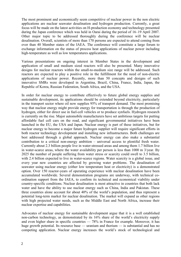The most prominent and economically seem competitive of nuclear power in the non electric applications are nuclear seawater desalination and hydrogen production. Currently, a great focus will be made on the latest activities on H-production economy and technology presented during the Japan conference which was held in Oarai during the period of 16–19 April 2007. Other major topic to be addressed thoroughly during the conference will be nuclear desalination. Overall, scientists of more than 170 persons are expected to attend coming from over than 40 Member states of the IAEA. The conference will constitute a large forum to exchange information on the status of process heat applications of nuclear power including high-temperature as well as low temperatures applications.

Various presentations on ongoing interest in Member States in the development and application of small and medium sized reactors will also be presented. Many innovative designs for nuclear reactors within the small-to-medium size range will be addressed. Such reactors are expected to play a positive role in the fulfillment for the need of non-electric applications of nuclear power. Recently, more than 50 concepts and designs of such innovative SMRs were developed in Argentina, Brazil, China, France, India, Japan, the Republic of Korea, Russian Federation, South Africa, and the USA.

In order for nuclear energy to contribute effectively to future global energy supplies and sustainable development, its applications should be extended beyond electricity, particularly in the transport sector where oil now supplies 95% of transport demand. The most promising way that nuclear energy might provide energy for transportation is through the production of hydrogen, either for direct use in fuel-cell vehicles or to produce synfuels. Hydrogen research is currently on the rise. Major automobile manufacturers have set ambitious targets for putting affordable fuel cell cars on the road, and significant governmental initiatives have been launched in the EU, the USA and Japan. Nuclear energy is part of these initiatives, but for nuclear energy to become a major future hydrogen supplier will require significant efforts in both reactor technology development and installing new infrastructures. Both challenges are best addressed through a global approach. Nuclear energy can also make a substantial contribution to a critical non-energy ambition – universal access to plentiful fresh water. Currently about 2.3 billion people live in water-stressed areas and among them 1.7 billion live in water-scarce areas, where the water availability per person is less than 1000 m 3/year. By 2025 the number of people suffering from water stress or scarcity could swell to 3.5 billion, with 2.4 billion expected to live in water-scarce regions. Water scarcity is a global issue, and every year new countries are affected by growing water problems. The desalination of seawater using nuclear energy (either low temperature heat or electricity) is a demonstrated option. Over 150 reactor-years of operating experience with nuclear desalination have been accumulated worldwide. Several demonstration programs are underway, with technical coordination support from the IAEA, to confirm its technical and economical viability under country-specific conditions. Nuclear desalination is most attractive in countries that both lack water and have the ability to use nuclear energy such as China, India and Pakistan. These three countries alone account for about 40% of the world's population, and thus represent a potential long-term market for nuclear desalination. The market will expand as other regions with high projected water needs, such as the Middle East and North Africa, increase their nuclear expertise and capabilities.

Advocates of nuclear energy for sustainable development argue that it is a well established non-carbon technology, as demonstrated by its 16% share of the world's electricity supply and even higher share in specific countries — 78% in France for example. Moreover, it has huge growth potential. Its resource base — uranium and thorium — is substantial and has no competing application. Nuclear energy increases the world's stock of technological and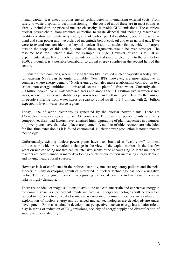human capital. It is ahead of other energy technologies in internalizing external costs. From safety to waste disposal to decommissioning — the costs of all of these are in most countries already included in the price of nuclear electricity. It avoids GHG emissions. The complete nuclear power chain, from resource extraction to waste disposal and including reactor and facility construction, emits only 2–6 grams of carbon per kilowatt-hour, about the same as wind and solar power and two orders of magnitude below coal, oil and even natural gas. If we were to extend our consideration beyond nuclear fission to nuclear fusion, which is largely outside the scope of this article, some of these arguments would be even stronger. The resource base for nuclear fusion, for example, is huge. However, fusion is still at an experimental stage. It is unlikely to provide a substantial share of electricity to the grid before 2050, although it is a possible contributor to global energy supplies in the second half of the century.

In industrialized countries, where most of the world's installed nuclear capacity is today, well run existing NPPs can be quite profitable. New NPPs, however, are most attractive in countries where energy demand "Nuclear energy can also make a substantial contribution to a critical non-energy ambition — universal access to plentiful fresh water. Currently about 2.3 billion people live in water-stressed areas and among them 1.7 billion live in water-scarce areas, where the water availability per person is less than 1000 m 3 /year. By 2025 the number of people suffering from water stress or scarcity could swell to 3.5 billion, with 2.4 billion expected to live in water-scarce regions.

Today, 16% of world electricity is generated by the nuclear power plants. There are 435 nuclear reactors operating in 33 countries. The existing power plants are very competitive; their load factors have remained high. Upgrading of plant capacities in a number of power plants have also taken place/ are planned. A number of older reactors are scheduled for life- time extension as it is found economical. Nuclear power production is now a mature technology.

Unfortunately, existing nuclear power plants have been branded as "cash cows" for most utilities worldwide. A remarkable change in the view of the capital markets in the last few years on nuclear being not that capital intensive seems quite encouraging. A large number of reactors are now planned in many developing countries due to their increasing energy demand and having meagre fossil sources.

However lack of confidence in the political stability, nuclear regulatory policies and financial aspects in many developing countries interested in nuclear technology has been a negative factor. The role of governments in recognizing the social benefits and in reducing various risks is highly desirable.

There are no ideal or magic solutions to avoid the unclean, uncertain and expensive energy in the coming years, as the present trends indicate. All energy technologies will be therefore needed in the years to come. As far nuclear is concerned, uranium resources are available for exploitation of nuclear energy and advanced nuclear technologies are developed/ are under development. From a sustainable development perspective, nuclear energy has a major role to play in terms of reduction of  $CO<sub>2</sub>$  emissions, security of energy supply and diversification of supply and price stability.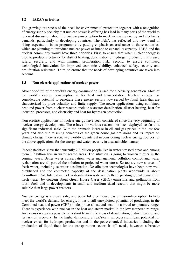#### **1.2 IAEA's priorities**

The growing awareness of the need for environmental protection together with a recognition of energy supply security that nuclear power is offering has lead in many parts of the world to renewed discussion about the nuclear power option to meet increasing energy and electricity demands, particularly in developing countries. The IAEA has reflected this new trend of rising expectation in its programme by putting emphasis on assistance to those countries, which are planning to introduce nuclear power or intend to expand its capacity. IAEA and the nuclear community would have three priorities. First, to ensure that when nuclear energy is used to produce electricity for district heating, desalination or hydrogen production, it is used safely, securely, and with minimal proliferation risk. Second, to ensure continued technological innovation for improved economic viability, enhanced safety, security and proliferation resistance. Third, to ensure that the needs of developing countries are taken into account.

#### **1.3 Non-electric applications of nuclear power**

About one-fifth of the world's energy consumption is used for electricity generation. Most of the world's energy consumption is for heat and transportation. Nuclear energy has considerable potential to penetrate these energy sectors now served by fossil fuels that are characterized by price volatility and finite supply. The newer applications using combined heat and power from nuclear reactors include seawater desalination, district heating, heat for industrial processes, and electricity and heat for hydrogen production.

Non-electric applications of nuclear energy have been considered since the very beginning of nuclear energy development. These have for various reasons not been deployed so far to a significant industrial scale. With the dramatic increase in oil and gas prices in the last few years and also due to rising concerns of the green house gas emissions and its impact on climate change, there is renewed worldwide interest in considering nuclear energy sources for the above applications for the energy and water security in a sustainable manner.

Recent statistics show that currently 2.3 billion people live in water stressed areas and among them 1.7 billion live in water scarce areas. The situation is going to worsen further in the coming years. Better water conservation, water management, pollution control and water reclamation are all part of the solution to projected water stress. So too are new sources of fresh water, including seawater desalination. Desalination technologies have been now well established and the contracted capacity of the desalination plants worldwide is about 37 million m3/d. Interest in nuclear desalination is driven by the expanding global demand for fresh water, by concern about Green House Gases (GHG) emissions and pollutions from fossil fuels and in developments in small and medium sized reactors that might be more suitable than large power reactors.

Nuclear energy is a clean, safe, and powerful greenhouse gas emission-free option to help meet the world's demand for energy. It has a still unexploited potential of producing, in the Combined heat and power (CHP) mode, process heat and steam in a broad temperature range. There is experience with nuclear in the heat and steam market in the low temperature range. An extension appears possible on a short term in the areas of desalination, district heating, and tertiary oil recovery. In the higher-temperature heat/steam range, a significant potential for nuclear exists for hydrogen production and in the petro-chemical industries including the production of liquid fuels for the transportation sector. It still needs, however, a broader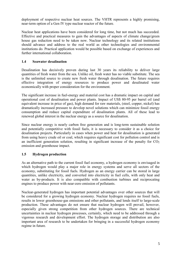deployment of respective nuclear heat sources. The VHTR represents a highly promising, near-term option of a Gen IV type nuclear reactor of the future.

Nuclear heat applications have been considered for long time, but not much has succeeded. Effective and practical measures to gain the advantages of aspects of climate change/green house gas reduction need to be taken now. Nuclear technology and its related institutions should advance and address to the real world as other technologies and environmental institutions do. Practical application would be possible based on exchange of experiences and further international collaboration.

#### **1.4 Seawater desalination**

Desalination has decisively proven during last 30 years its reliability to deliver large quantities of fresh water from the sea. Unlike oil, fresh water has no viable substitute. The sea is the unlimited source to create new fresh water through desalination. The future requires effective integration of energy resources to produce power and desalinated water economically with proper consideration for the environment.

The significant increase in fuel-energy and material cost has a dramatic impact on capital and operational cost of desalination and power plants. Impact of US\$ 80-95 per barrel oil (and equivalent increase in price of gas), high demand for raw materials, (steel, copper, nickel) has dramatically increased pressure to develop novel solutions which can minimize fossil energy consumption and reduce capital expenditure of desalination plants. All of these lead to renewed global interest in the nuclear energy as a source for desalination.

Since nuclear energy is nearly carbon free generation and is long-term sustainable solution and potentially competitive with fossil fuels, it is necessary to consider it as a choice for desalination projects. Particularly in cases when power and heat for desalination is generated from using heavy crude oil or coal, which requires significant cost for pollution control and is an inefficient generation solution, resulting in significant increase of the penalty for  $CO<sub>2</sub>$ emission and greenhouse impact.

#### **1.5 Hydrogen production**

As an alternative path to the current fossil fuel economy, a hydrogen economy is envisaged in which hydrogen would play a major role in energy systems and serve all sectors of the economy, substituting for fossil fuels. Hydrogen as an energy carrier can be stored in large quantities, unlike electricity, and converted into electricity in fuel cells, with only heat and water as by-products. It is also compatible with combustion turbines and reciprocating engines to produce power with near-zero emission of pollutants.

Nuclear-generated hydrogen has important potential advantages over other sources that will be considered for a growing hydrogen economy. Nuclear hydrogen requires no fossil fuels, results in lower greenhouse-gas emissions and other pollutants, and lends itself to large-scale production. These advantages do not ensure that nuclear hydrogen will prevail, however, especially given strong competition from other hydrogen sources. There are technical uncertainties in nuclear hydrogen processes, certainly, which need to be addressed through a vigorous research and development effort. The hydrogen storage and distribution are also important area of research to be undertaken for bringing in a successful hydrogen economy regime in future.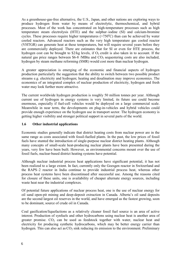As a greenhouse-gas-free alternative, the U.S., Japan, and other nations are exploring ways to produce hydrogen from water by means of electrolytic, thermochemical, and hybrid processes. Most of the work has concentrated on high-temperature processes such as high temperature steam electrolysis (HTE) and the sulphur–iodine (SI) and calcium-bromine cycles. These processes require higher temperatures  $(>750^{\circ}C)$  than can be achieved by water cooled reactors. Advanced reactors such as the very high temperature gas cooled reactor (VHTGR) can generate heat at these temperatures, but will require several years before they are commercially deployed. There are estimates that for SI or even for HTE process, the hydrogen cost can be brought to  $\frac{2}{k}$  levels, if O<sub>2</sub> credit is also taken in to account. If the natural gas price ranges between  $$6-8$  /MBtu and  $CO<sub>2</sub>$  sequestering costs are also included, hydrogen by steam methane reforming (SMR) would cost more than nuclear hydrogen.

A greater appreciation is emerging of the economic and financial aspects of hydrogen production particularly the suggestion that the ability to switch between two possible product streams e.g. electricity and hydrogen; heating and desalination may improve economics. The economics of an integrated complex of nuclear production of electricity, hydrogen and fresh water may look further more attractive.

The current worldwide hydrogen production is roughly 50 million tonnes per year. Although current use of hydrogen in energy systems is very limited, its future use could become enormous, especially if fuel-cell vehicles would be deployed on a large commercial scale. Meanwhile in near term, the developments on plug-in-vehicles and hybrid vehicles could provide enough experience on the hydrogen use in transport sector. The hydrogen economy is getting higher visibility and stronger political support in several parts of the world.

#### **1.6 Other industrial applications**

Economic studies generally indicate that district heating costs from nuclear power are in the same range as costs associated with fossil-fuelled plants. In the past, the low prices of fossil fuels have stunted the introduction of single-purpose nuclear district heating plants. Although many concepts of small-scale heat-producing nuclear plants have been presented during the years, very few have been built. However, as environmental concerns mount over the use of fossil fuels, nuclear-based district heating systems have potential.

Although nuclear industrial process heat applications have significant potential, it has not been realized to a large extent. In fact, currently only the Goesgen reactor in Switzerland and the RAPS–2 reactor in India continue to provide industrial process heat, whereas other process heat systems have been discontinued after successful use. Among the reasons cited for closure of these units, one is availability of cheaper alternate energy sources, including waste heat near the industrial complexes.

Of potential future applications of nuclear process heat, one is the use of nuclear energy for oil sand open-pit mining and deep-deposit extraction in Canada. Alberta's oil sand deposits are the second largest oil reserves in the world, and have emerged as the fastest growing, soon to be dominant, source of crude oil in Canada.

Coal gasification/liquefactions as a relatively cleaner fossil fuel source is an area of active interest. Production of synfuels and other hydrocarbons using nuclear heat is another area of greater promise.  $CO<sub>2</sub>$  can be used as feedstock together with water, nuclear heat and electricity for producing synthetic hydrocarbons, which may be better energy carrier than hydrogen. This can also act as  $CO<sub>2</sub>$  sink reducing its emission to the environment. Preliminary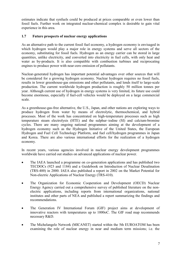estimates indicate that synfuels could be produced at prices comparable or even lower than fossil fuels. Further work on integrated nuclear-chemical complex is desirable to gain vital experience in this area.

#### **1.7 Future prospects of nuclear energy applications**

As an alternative path to the current fossil fuel economy, a hydrogen economy is envisaged in which hydrogen would play a major role in energy systems and serve all sectors of the economy, substituting for fossil fuels. Hydrogen as an energy carrier can be stored in large quantities, unlike electricity, and converted into electricity in fuel cells, with only heat and water as by-products. It is also compatible with combustion turbines and reciprocating engines to produce power with near-zero emission of pollutants.

Nuclear-generated hydrogen has important potential advantages over other sources that will be considered for a growing hydrogen economy. Nuclear hydrogen requires no fossil fuels, results in lower greenhouse-gas emissions and other pollutants, and lends itself to large-scale production. The current worldwide hydrogen production is roughly 50 million tonnes per year. Although current use of hydrogen in energy systems is very limited, its future use could become enormous, especially if fuel-cell vehicles would be deployed on a large commercial scale.

As a greenhouse-gas-free alternative, the U.S., Japan, and other nations are exploring ways to produce hydrogen from water by means of electrolytic, thermochemical, and hybrid processes. Most of the work has concentrated on high-temperature processes such as high temperature steam electrolysis (HTE) and the sulphur–iodine (SI) and calcium-bromine cycles. There are many ongoing national programmes aiming at the development of a hydrogen economy such as the Hydrogen Initiative of the United States, the European Hydrogen and Fuel Cell Technology Platform, and fuel cell/hydrogen programmes in Japan and Korea. There are also various international efforts for the realization of a hydrogen economy.

In recent years, various agencies involved in nuclear energy development programmes worldwide have carried out studies on advanced applications of nuclear power.

- The IAEA launched a programme on co-generation applications and has published two TECDOCs (923 and 1184) and a Guidebook on Introduction of Nuclear Desalination (TRS-400) in 2000. IAEA also published a report in 2002 on the Market Potential for Non-electric Applications of Nuclear Energy (TRS-410).
- The Organization for Economic Cooperation and Development (OECD) Nuclear Energy Agency carried out a comprehensive survey of published literature on the nonelectric applications, including reports from international organizations, national institutes and other parts of NEA and published a report summarizing the findings and recommendations.
- The Generation IV International Forum (GIF) project aims at development of innovative reactors with temperatures up to 1000oC. The GIF road map recommends necessary R&D.
- The Michelangelo Network (MICANET) started within the 5th EUROATOM has been examining the role of nuclear energy in near and medium term missions; i.e. the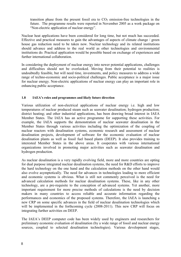transition phase from the present fossil era to  $CO<sub>2</sub>$  emission-free technologies in the future. The programme results were reported in November 2005 as a work package on "Non-electric application of nuclear energy".

Nuclear heat applications have been considered for long time, but not much has succeeded. Effective and practical measures to gain the advantages of aspects of climate change / green house gas reduction need to be taken now. Nuclear technology and its related institutions should advance and address to the real world as other technologies and environmental institutions do. Practical application would be possible based on exchange of experiences and further international collaboration.

In considering the deployment of nuclear energy into newer potential applications, challenges and difficulties should not be overlooked. Moving from their potential to realities is undoubtedly feasible, but will need time, investments, and policy measures to address a wide range of techno-economic and socio-political challenges. Public acceptance is a major issue for nuclear energy. Non-electric applications of nuclear energy can play an important role in enhancing public acceptance.

#### **1.8 IAEA's roles and programmes and likely future direction**

Various utilization of non-electrical applications of nuclear energy i.e. high and low temperatures of nuclear produced steam such as seawater desalination; hydrogen production; district heating; and other industrial applications, has been drawing broad interest in IAEA Member States. The IAEA has an active programme for supporting these activities. For example, the IAEA supports the demonstration of nuclear seawater desalination in the Member States through various activities including the optimization of the coupling of nuclear reactors with desalination systems, economic research and assessment of nuclear desalination projects, development of software for the economic evaluation of nuclear desalination plants as well as fossil fuel based plants (DEEP). It also provides training to interested Member States in the above areas. It cooperates with various international organizations involved in promoting major activities such as seawater desalination and hydrogen production.

As nuclear desalination is a very rapidly evolving field, more and more countries are opting for dual purpose integrated nuclear desalination systems, the need for R&D efforts to improve the hard technology on the one hand and the calculation methods on the other hand would also evolve asymptotically. The need for advances in technologies leading to more efficient and economic systems is obvious. What is still not commonly perceived is the need for advanced calculation methods for nuclear desalination systems. These, like in any other technology, are a pre-requisite to the conception of advanced systems. Yet another, more important requirement for more precise methods of calculations is the need by decision makers in many countries to access reliable and accurate information regarding the performances and economics of the proposed systems. Therefore, the IAEA is launching a new CRP on some specific advances in the field of nuclear desalination technologies which will be implemented in the forthcoming cycle (2008-2011). This new CRP will focus on integrating further activities on DEEP.

The IAEA's DEEP computer code has been widely used by engineers and researchers for preliminary economic evaluation of desalination (by a wide range of fossil and nuclear energy sources, coupled to selected desalination technologies). Various development stages,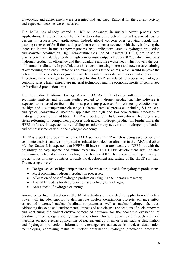drawbacks, and achievement were presented and analyzed. Rational for the current activity and expected outcomes were discussed.

The IAEA has already started a CRP on Advances in nuclear power process heat Applications. The objective of the CRP is to evaluate the potential of all advanced reactor designs in process heat applications. Indeed, global concern over growing populations, peaking reserves of fossil fuels and greenhouse emissions associated with them, is driving the increased interest in nuclear power process heat applications, such as hydrogen production and seawater desalination. High Temperature Gas Cooled Reactors (HTGRs) are poised to play a potential role due to their high temperature output of 850-950 ºC, which improves hydrogen production efficiency and their available and free waste heat, which lowers the cost of thermal desalination. In parallel, there has been increasing interest and new research aiming at overcoming efficiency limitations at lower process temperatures, which would improve the potential of other reactor designs of lower temperature capacity, in process heat applications. Therefore, the challenges to be addressed by this CRP are related to process technologies, coupling safety, high temperature material technology and the economic merits of centralized or distributed production units.

The International Atomic Energy Agency (IAEA) is developing software to perform economic analysis and scoping studies related to hydrogen production. The software is expected to be based on few of the most promising processes for hydrogen production such as: high and low temperature electrolysis, thermochemical processes including S-I process, and typical conventional methods applicable for high and low temperature processes of hydrogen production. In addition, HEEP is expected to include conventional electrolysis and steam reforming for comparison purposes with nuclear hydrogen production. Furthermore, the HEEP software is expected to be building on other many activities on hydrogen production and cost assessments within the hydrogen economy.

HEEP is expected to be similar to the IAEA software DEEP which is being used to perform economic analysis and feasibility studies related to nuclear desalination in the IAEA and other Member States. It is expected that HEEP will have similar architecture to DEEP but with the possibility of easy update and future expansion. This HEEP development was initiated following a technical advisory meeting in September 2007. The meeting has helped catalyze the activities in many countries towards the development and testing of the HEEP software. The meeting covered:

- Design aspects of high temperature nuclear reactors suitable for hydrogen production;
- Most promising hydrogen production processes;
- Allocation of cost of hydrogen production using high temperature reactors;
- Available models for the production and delivery of hydrogen;
- Assessment of hydrogen economy

Among other future direction of the IAEA activities on non electric application of nuclear power will include: support to demonstrate nuclear desalination projects, enhance safety aspects of integrated nuclear desalination systems as well as nuclear hydrogen facilities, addressing the socio and environmental impacts of non electric applications of nuclear power, and continuing the validation/development of software for the economic evaluation of desalination technologies and hydrogen production. This will be achieved through technical meetings on non electric applications of nuclear energy in major areas such as desalination and hydrogen production, information exchange on advances in nuclear desalination technologies, addressing status of nuclear desalination; hydrogen production processes;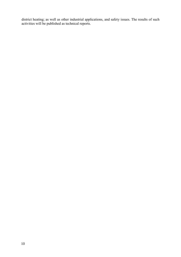district heating; as well as other industrial applications, and safety issues. The results of such activities will be published as technical reports.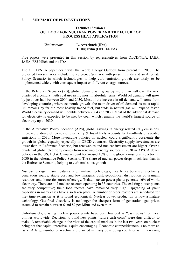#### **2. SUMMARY OF PRESENTATIONS**

#### **Technical Session 1 OUTLOOK FOR NUCLEAR POWER AND THE FUTURE OF PROCESS HEAT APPLICATION**

#### *Chairpersons*: **L. Awerbuch** (IDA) **T. Dujardin** (OECD/NEA)

Five papers were presented in this session by representatives from OECD/NEA, IAEA, JAEA, FZJ Jülich and the IDA.

The OECD/NEA paper dealt with the World Energy Outlook from present till 2030. The projected two scenarios include the Reference Scenario with present trends and an Alternate Policy Scenario in which technologies to help curb emission growth are likely to be implemented widely with consequent impact on different energy sources.

In the Reference Scenario (RS), global demand will grow by more than half over the next quarter of a century, with coal use rising most in absolute terms. World oil demand will grow by just over half between 2004 and 2030. Most of the increase in oil demand will come from developing countries, where economic growth -the main driver of oil demand- is most rapid. Oil remains by far the most heavily traded fuel, but trade in natural gas will expand faster. World electricity demand will double between 2004 and 2030. Most of the additional demand for electricity is expected to be met by coal, which remains the world's largest source of electricity up to 2030.

In the Alternative Policy Scenario (APS), global savings in energy related  $CO<sub>2</sub>$  emissions, improved end-use efficiency of electricity & fossil fuels accounts for two-thirds of avoided emissions in 2030. More favourable policies on nuclear could significantly accelerate the growth in global capacity especially in OECD countries. Electricity supply investments are lower than in Reference Scenario, but renewables and nuclear investment are higher. Over a quarter of global electricity comes from renewable energy sources in 2030 in APS. A dozen policies in the US, EU & China account for around 40% of the global emissions reduction in 2030 in the Alternative Policy Scenario. The share of nuclear power drops much less than in the Reference Scenario, helping to curb emissions growth

Nuclear energy main features are: mature technology, nearly carbon-free electricity generation source, stable cost and low marginal cost, geopolitical distribution of uranium resources and domestic source of energy. Today, nuclear power plants generate 16% of world electricity. There are 442 nuclear reactors operating in 33 countries. The existing power plants are very competitive; their load factors have remained very high. Upgrading of plant capacities in many cases have also taken place. A number of older reactors are scheduled for life- time extension as it is found economical. Nuclear power production is now a mature technology. Gas-fired electricity is no longer the cheapest form of generation; gas prices assumed to remain between 6 and \$9 per Mbtu and even more.

Unfortunately, existing nuclear power plants have been branded as "cash cows" for most utilities worldwide. Decisions to build new plants "future cash cows" were thus difficult to make. A remarkable change in the view of the capital markets in the last two years on nuclear being not that capital intensive is quite encouraging. Economic competitiveness is no more an issue. A large number of reactors are planned in many developing countries with increasing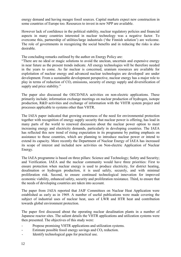energy demand and having meagre fossil sources. Capital markets expect new construction in some countries of Europe too. Resources to invest in new NPP are available.

However lack of confidence in the political stability, nuclear regulatory policies and financial aspects in many countries interested in nuclear technology was a negative factor. To overcome this, partnership of utilities/large industrials ('the Finnish solution') are welcome. The role of governments in recognizing the social benefits and in reducing the risks is also desirable.

The concluding remarks outlined by the author on Energy Policy are:

"There are no ideal or magic solutions to avoid the unclean, uncertain and expensive energy in near future as the present trends indicate. All energy technologies will be therefore needed in the years to come. As far nuclear is concerned, uranium resources are available for exploitation of nuclear energy and advanced nuclear technologies are developed/ are under development. From a sustainable development perspective, nuclear energy has a major role to play in terms of reduction of  $CO<sub>2</sub>$  emissions, security of energy supply and diversification of supply and price stability."

The paper also discussed the OECD/NEA activities on non-electric applications. These primarily include; information exchange meetings on nuclear production of hydrogen, isotope production, R&D activities and exchange of information with the VHTR system project and processes applicable to systems other than VHTR.

The IAEA paper indicated that growing awareness of the need for environmental protection together with recognition of energy supply security that nuclear power is offering, has lead in many parts of the world to renewed discussion about the nuclear power option to meet increasing energy and electricity demands, particularly in developing countries. The IAEA has reflected this new trend of rising expectation in its programme by putting emphasis on assistance to those countries, which are planning to introduce nuclear power or intend to extend its capacity. More recently the Department of Nuclear Energy of IAEA has increased its scope of interest and included new activities on Non-electric Application of Nuclear Energy.

The IAEA programme is based on three pillars: Science and Technology; Safety and Security; and Verification. IAEA and the nuclear community would have three priorities: First to ensure protection when nuclear energy is used to produce electricity, for district heating, desalination or hydrogen production, it is used safely, securely, and with minimal proliferation risk. Second, to ensure continued technological innovation for improved economic viability, enhanced safety, security and proliferation resistance. Third, to ensure that the needs of developing countries are taken into account.

The paper from JAEA reported that JAIF Committees on Nuclear Heat Application were established as early as in 1969. A number of useful publications were made covering the subject of industrial uses of nuclear heat, uses of LWR and HTR heat and contribution towards global environment protection.

The paper first discussed about the operating nuclear desalination plants in a number of Japanese reactor sites. The salient details the VHTR applications and utilization systems were then presented. The objectives of this study were:

- Propose promising VHTR applications and utilization systems.
- Estimate possible fossil energy savings and  $CO<sub>2</sub>$  reduction.
- Identify technological gaps for practical use.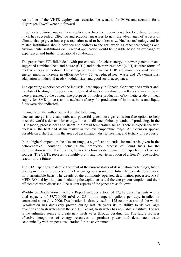An outline of the VHTR deployment scenario, the scenario for FCVs and scenario for a "Hydrogen Town" were put forward.

In author's opinion, nuclear heat applications have been considered for long time, but not much has succeeded. Effective and practical measures to gain the advantages of aspects of climate change/green house gas reduction need to be taken now. Nuclear technology and its related institutions should advance and address to the real world as other technologies and environmental institutions do. Practical application would be possible based on exchange of experiences and further international collaboration.

The paper from FZJ Jülich dealt with present role of nuclear energy in power generation and suggested combined heat and power (CHP) and nuclear process heat (NPH) as other forms of nuclear energy utilization. The strong points of nuclear CHP are;.more independence of energy imports, increase in efficiency by  $\sim 15$  %, reduced heat waste and CO<sub>2</sub> emissions, adaptation to industrial needs (modular size) and good social acceptance.

The operating experiences of the industrial heat supply in Canada, Germany and Switzerland, the district heating in European countries and of nuclear desalination in Kazakhstan and Japan were presented by the author. The prospects of nuclear production of synthetic crude oil, heat supply for SMR process and a nuclear refinery for production of hydrocarbons and liquid fuels were also indicated.

In conclusion the author pointed out the following;

Nuclear energy is a clean, safe, and powerful greenhouse gas emission-free option to help meet the world's demand for energy. It has a still unexploited potential of producing, in the CHP mode, process heat and steam in a broad temperature range. There is experience with nuclear in the heat and steam market in the low temperature range. An extension appears possible on a short term in the areas of desalination, district heating, and tertiary oil recovery.

In the higher/temperature heat/steam range, a significant potential for nuclear is given in the petro-chemical industries including the production process of liquid fuels for the transportation sector. It still needs, however, a broader deployment of respective nuclear heat sources. The VHTR represents a highly promising, near-term option of a Gen IV type nuclear reactor of the future.

The IDA paper gave a detailed account of the current status of desalination technology, future developments and prospects of nuclear energy as a source for future large-scale desalination on a sustainable basis. The details of the commonly operated desalination processes, MSF, MED, RO and hybrid plants including the capital costs and the energy consumption and their efficiencies were discussed. The salient aspects of the paper are as follows:

Worldwide Desalination Inventory Report includes a total of 17,348 desalting units with a total capacity of  $37,750,000$  m<sup>3</sup>/d or 8.3 billion imperial gallons per day, installed or contracted as on July 2006. Desalination is already used in 125 countries around the world. Desalination has decisively proven during last 30 years its reliability to deliver large quantities of fresh water from the sea. Unlike oil, fresh water has no viable substitute. The sea is the unlimited source to create new fresh water through desalination. The future requires effective integration of energy resources to produce power and desalinated water economically with proper consideration for the environment.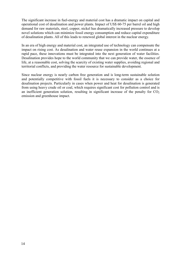The significant increase in fuel-energy and material cost has a dramatic impact on capital and operational cost of desalination and power plants. Impact of US\$ 60-75 per barrel oil and high demand for raw materials, steel, copper, nickel has dramatically increased pressure to develop novel solutions which can minimize fossil energy consumption and reduce capital expenditure of desalination plants. All of this leads to renewed global interest in the nuclear energy.

In an era of high energy and material cost, an integrated use of technology can compensate the impact on rising cost. As desalination and water reuse expansion in the world continues at a rapid pace, these innovations must be integrated into the next generation of water facilities. Desalination provides hope to the world community that we can provide water, the essence of life, at a reasonable cost, solving the scarcity of existing water supplies, avoiding regional and territorial conflicts, and providing the water resource for sustainable development.

Since nuclear energy is nearly carbon free generation and is long-term sustainable solution and potentially competitive with fossil fuels it is necessary to consider as a choice for desalination projects. Particularly in cases when power and heat for desalination is generated from using heavy crude oil or coal, which requires significant cost for pollution control and is an inefficient generation solution, resulting in significant increase of the penalty for  $CO<sub>2</sub>$ emission and greenhouse impact.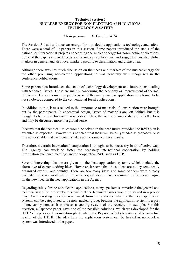#### Technical Session 2 NUCLEAR ENERGY FOR NON-ELECTRIC APPLICATIONS: TECHNOLOGY & SAFETY

#### Chairpersons: A. Omoto, IAEA

The Session 3 dealt with nuclear energy for non-electric applications: technology and safety. There were a total of 10 papers in this session. Some papers introduced the status of the national or international projects concerning the nuclear energy for non-electric applications. Some of the papers stressed needs for the nuclear applications, and suggested possible global markets in general and also local markets specific to desalination and district heat.

Although there was not much discussion on the needs and markets of the nuclear energy for the other promising non-electric applications, it was generally well recognized in the conference deliberations.

Some papers also introduced the status of technology development and future plans dealing with technical issues. Those are mainly concerning the economy or improvement of thermal efficiency. The economic competitiveness of the many nuclear application was found to be not so obvious compared to the conventional fossil applications.

In addition to this, issues related to the importance of materials of construction were brought out by the participants. In conceptual design, issues of materials are left behind, but it is thought to be critical for commercialization. Thus, the issues of materials need a better look and may be discussed more in a global sense.

It seems that the technical issues would be solved in the near future provided the R&D plan is executed as expected. However it is not clear that those will be fully funded as proposed. Also it is not desirable that each country takes up the same technical issues.

Therefore, a certain international cooperation is thought to be necessary in an effective way. The Agency can work to foster the necessary international cooperation by holding information exchange meetings and/or cooperative R&D such as CRP.

Several interesting ideas were given on the heat application systems, which include the alternative of current exiting ideas. However, it seems that those ideas are not systematically organized even in one country. There are too many ideas and some of them were already evaluated to be not worthwhile. It may be a good idea to have a seminar to discuss and argue on the new idea on the heat applications in the Agency.

Regarding safety for the non-electric applications, many speakers summarized the general and technical issues on the safety. It seems that the technical issues would be solved in a proper way. An interesting question was raised from the audience whether the heat application systems can be categorized to be non- nuclear grade, because the application system is a part of nuclear system, as it works as a cooling system of the reactor, for example. For this question, a Japanese paper gave one of the possible solutions, which was developed for the HTTR - IS process demonstration plant, where the IS process is to be connected to an actual reactor of the HTTR. The idea how the application system can be treated as non-nuclear system was introduced in the paper.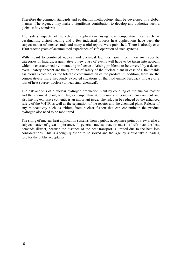Therefore the common standards and evaluation methodology shall be developed in a global manner. The Agency may make a significant contribution to develop and authorize such a global safety standards.

The safety aspects of non-electric applications using low temperature heat such as desalination, district heating and a few industrial process heat applications have been the subject matter of intense study and many useful reports were published. There is already over 1000 reactor years of accumulated experience of safe operation of such systems.

With regard to combined nuclear and chemical facilities, apart from their own specific categories of hazards, a qualitatively new class of events will have to be taken into account which is characterized by interacting influences. Arising problems to be covered by a decent overall safety concept are the question of safety of the nuclear plant in case of a flammable gas cloud explosion, or the tolerable contamination of the product. In addition, there are the comparatively more frequently expected situations of thermodynamic feedback in case of a loss of heat source (nuclear) or heat sink (chemical).

The risk analysis of a nuclear hydrogen production plant by coupling of the nuclear reactor and the chemical plant, with higher temperature & pressure and corrosive environment and also having explosive contents, is an important issue. The risk can be reduced by the enhanced safety of the VHTR as well as the separation of the reactor and the chemical plant. Release of any radioactivity such as tritium from nuclear fission that can contaminate the product hydrogen also need to be monitored.

The siting of nuclear heat application systems from a public acceptance point of view is also a subject matter of great importance. In general, nuclear reactor must be built near the heat demands district, because the distance of the heat transport is limited due to the heat loss considerations. This is a tough question to be solved and the Agency should take a leading role for the public acceptance.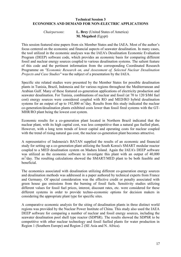#### **Technical Session 3 ECONOMICS AND DEMAND FOR NON-ELECTRIC APPLICATIONS**

#### *Chairpersons*: **L. Brey** (United States of America) **M. Megahed** (Egypt)

This session featured nine papers from six Member States and the IAEA. Most of the author's focus centered on the economic and financial aspects of seawater desalination. In many cases, the tool utilized in the economic analyses was the IAEA's Desalination Economic Evaluation Program (DEEP) software code, which provides an economic basis for comparing different fossil and nuclear energy sources coupled to various desalination systems. The salient feature of this code and the pertinent information from the corresponding Coordinated Research Programme on *"Economic Research on, and Assessment of, Selected Nuclear Desalination Projects and Case Studies"* was the subject of a presentation by the IAEA.

Specific site related studies were presented by the Member States for possible desalination plants in Tunisia, Brazil, Indonesia and for various regions throughout the Mediterranean and Arabian Gulf. Many of these featured co-generation applications of electricity production and seawater desalination. For Tunisia, combinations of nuclear and fossil (at 70 to 120 \$/bbl fuel cost) energy sources were considered coupled with RO and MED/RO hybrid desalination systems for an output of up to  $192,000 \text{ m}^3/\text{day}$ . Results from this study indicated the nuclear co-generation/desalination plants exhibited costs lower than fossil fired systems with the GT-MHR/RO plant being the lowest cost system.

Economic results for a co-generation plant located in Northern Brazil indicated that the nuclear plant, with its high capital cost, was less competitive than a natural gas fuelled plant, However, with a long term trends of lower capital and operating costs for nuclear coupled with the trend of rising natural gas cost, the nuclear co-generation plant becomes attractive.

A representative of Indonesia's BATAN supplied the results of an economic and financial study for setting up a co-generation plant utilizing the South Korea's SMART modular reactor coupled to a MED desalination system on Madura Island. Again the IAEA's DEEP software was utilized as the economic software to investigate this plant with an output of 40,000 m<sup>3</sup>/day. The resulting calculations showed the SMART/MED plant to be both feasible and beneficial.

The economics associated with desalination utilizing different co-generation energy sources and desalination methods was addressed in a paper authored by technical experts from France and Germany. Of special consideration was the effective credit or penalty associated with green house gas emissions from the burning of fossil fuels. Sensitivity studies utilizing different values for fossil fuel prices, interest, discount rates, etc. were considered for these different systems in order to provide techno-economic options for decision makers in considering the appropriate plant type for specific sites.

A comparative economic analysis for the siting of desalination plants in three distinct world regions was provided by the Nuclear Power Institute of China. This study also used the IAEA DEEP software for comparing a number of nuclear and fossil energy sources, including the seawater desalination pool shell type reactor (SDPSR). The results showed the SDPSR to be competitive with other nuclear technology and fossil fuelled plants for water production in Region 1 (Southern Europe) and Region 2 (SE Asia and N. Africa).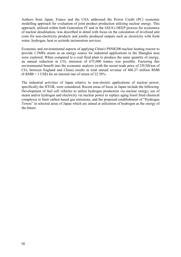Authors from Japan, France and the USA addressed the Power Credit (PC) economic modelling approach for evaluation of joint product production utilizing nuclear energy. This approach, utilized within both Generation IV and in the IAEA's DEEP process for economics of nuclear desalination, was described in detail with focus on the calculation of levelized unit costs for non-electricity products and jointly produced outputs such as electricity with fresh water, hydrogen, heat or actinide incineration services.

Economic and environmental aspects of applying China's PSNR200 nuclear heating reactor to provide 1.5MPa steam as an energy source for industrial applications in the Shanghai area were explored. When compared to a coal fired plant to produce the same quantity of energy, an annual reduction in  $CO<sub>2</sub>$  emission of 675,000 tonnes was possible. Factoring this environmental benefit into the economic analysis (with the recent trade price of 25US\$/ton of  $CO<sub>2</sub>$  between England and China) results in total annual revenue of 406.27 million RMB (8 RMB = 1 US\$) for an internal rate of return of 22.58%.

The industrial activities of Japan relative to non-electric applications of nuclear power, specifically the HTGR, were considered. Recent areas of focus in Japan include the following: Development of fuel cell vehicles to utilize hydrogen production via nuclear energy; use of steam and/or hydrogen and electricity via nuclear power to replace aging fossil fired chemical complexes to limit carbon based gas emissions, and the proposed establishment of "Hydrogen Towns" in selected areas of Japan which are aimed at utilization of hydrogen as the energy of the future.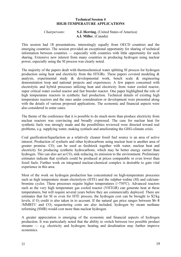#### Technical Session 4 HIGH-TEMPERATURE APPLICATIONS

#### Chairpersons: S.J. Herring, (United States of America) A.I. Miller, (Canada)

This session had 18 presentations, interestingly equally from OECD countries and the emerging countries. The session provided an exceptional opportunity for sharing of technical information between countries — especially with countries with little opportunity for such sharing. Extensive new interest from many countries in producing hydrogen using nuclear power, especially using the SI process was clearly noted.

The majority of the papers dealt with thermochemical water splitting SI process for hydrogen production using heat and electricity from the HTGRs. These papers covered modeling & analysis, experimental study & developmental work, bench scale & engineering demonstration loop and national projects and experiences. A few papers concerned with electrolytic and hybrid processes utilizing heat and electricity from water cooled reactor, super critical water cooled reactor and fast breeder reactor. One paper highlighted the role of high temperature reactors in synthetic fuel production. Technical details of existing high temperature reactors and the ones under consideration or development were presented along with the details of various proposed applications. The economic and financial aspects were also considered in some cases.

The theme of the conference that it is possible to do much more than produce electricity from nuclear reactors was convincing and broadly expressed. The case for nuclear heat for synthetic fuels was strongly made and the possibilities reviewed were directed toward real problems, e.g. supplying water, making synfuels and ameliorating the GHG-climate crisis.

Coal gasification/liquefaction as a relatively cleaner fossil fuel source is an area of active interest. Production of synfuels and other hydrocarbons using nuclear heat is another area of greater promise.  $CO<sub>2</sub>$  can be used as feedstock together with water, nuclear heat and electricity for producing synthetic hydrocarbons, which may be better energy carrier than hydrogen. This can also act as  $CO<sub>2</sub>$  sink reducing its emission to the environment. Preliminary estimates indicate that synfuels could be produced at prices comparable or even lower than fossil fuels. Further work on integrated nuclear-chemical complex is desirable to gain vital experience in this area.

Most of the work on hydrogen production has concentrated on high-temperature processes such as high temperature steam electrolysis (HTE) and the sulphur–iodine (SI) and calciumbromine cycles. These processes require higher temperatures  $(>750^{\circ}C)$ . Advanced reactors such as the very high temperature gas cooled reactor (VHTGR) can generate heat at these temperatures, but will require several years before they are commercially deployed. There are estimates that for SI or even for HTE process, the hydrogen cost can be brought to \$2/kg levels, if  $O_2$  credit is also taken in to account. If the natural gas price ranges between \$6–8 /MMBTU and  $CO<sub>2</sub>$  sequestering costs are also included, hydrogen by steam methane reforming (SMR) would cost more than nuclear hydrogen.

A greater appreciation is emerging of the economic and financial aspects of hydrogen production. It was particularly noted that the ability to switch between two possible product streams — e.g. electricity and hydrogen; heating and desalination may further improve economics.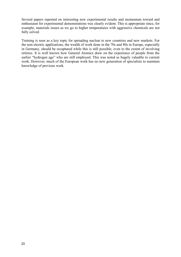Several papers reported on interesting new experimental results and momentum toward and enthusiasm for experimental demonstrations was clearly evident. This is appropriate since, for example, materials issues as we go to higher temperatures with aggressive chemicals are not fully solved.

Training is seen as a key topic for spreading nuclear to new countries and new markets. For the non-electric applications, the wealth of work done in the 70s and 80s in Europe, especially in Germany, should be recaptured while this is still possible, even to the extent of involving retirees. It is well known how General Atomics draw on the experience of people from the earlier "hydrogen age" who are still employed. This was noted as hugely valuable to current work. However, much of the European work has no new generation of specialists to maintain knowledge of previous work.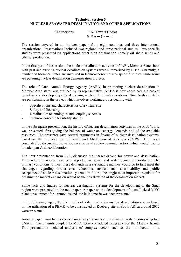#### **Technical Session 5 NUCLEAR SEAWATER DESALINATION AND OTHER APPLICATIONS**

| Chairpersons: | <b>P.K. Tewari</b> (India) |
|---------------|----------------------------|
|               | S. Nisan (France)          |

The session covered in all fourteen papers from eight countries and three international organizations. Presentations included two regional and three national studies. Two specific studies were presented on applications other than desalination namely oil shale sands and ethanol production.

In the first part of the session, the nuclear desalination activities of IAEA Member States both with past and existing nuclear desalination systems were summarized by IAEA. Currently, a number of Member States are involved in techno-economic site- specific studies while some are pursuing nuclear desalination demonstration projects.

The role of Arab Atomic Energy Agency (AAEA) in promoting nuclear desalination in Member Arab states was outlined by its representative. AAEA is now coordinating a project to define and develop steps for deploying nuclear desalination systems. Nine Arab countries are participating in the project which involves working groups dealing with:

- Specifications and characteristics of a virtual site
- Safety and licensing
- Desalination technologies and coupling schemes
- Techno-economic feasibility studies

In the subsequent presentation, the history of nuclear desalination activities in the Arab World was presented, first giving the balance of water and energy demands and of the available resources. The presenter gave several arguments in favour of nuclear desalination systems, based on the probable use of Small and Medium-sized Reactors (SMRS). The paper concluded by discussing the various reasons and socio-economic factors, which could lead to broader pan-Arab collaboration.

The next presentation from IDA, discussed the market drivers for power and desalination. Tremendous increases have been reported in power and water demands worldwide. The primary conditions to meet these demands in a sustainable manner would be to first meet the challenges regarding further cost reductions, environmental sustainability and public acceptance of nuclear desalination systems. In future, the single most important requisite for desalination market expansion would be the privatization of the desalination market.

Some facts and figures for nuclear desalination systems for the development of the Sinai region were presented in the next paper. A paper on the development of a small sized MVC plant development for a remote island site in Indonesia was then presented.

In the following paper, the first results of a demonstration nuclear desalination system based on the utilization of a PBMR to be constructed at Koeberg site in South Africa around 2012 were presented.

Another paper from Indonesia explained why the nuclear desalination system comprising two SMART reactor units coupled to MED, were considered necessary for the Madura Island. This presentation included analysis of complex factors such as the introduction of a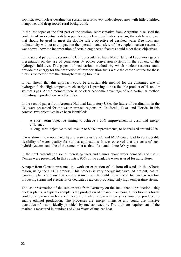sophisticated nuclear desalination system in a relatively undeveloped area with little qualified manpower and deep rooted rural background.

In the last paper of the first part of the session, representative from Argentina discussed the contents of an eventual safety report for a nuclear desalination system, the safety approach that should be used to meet the double safety objective of desalted water free from any radioactivity without any impact on the operation and safety of the coupled nuclear reactor. It was shown, how the incorporation of certain engineered features could meet these objectives.

In the second part of the session the US representative from Idaho National Laboratory gave a presentation on the use of generation IV power conversion systems in the context of the hydrogen initiative. The paper outlined various methods by which nuclear reactors could provide the energy for the production of transportation fuels while the carbon source for these fuels is extracted from the atmosphere using biomass.

It was shown that this approach could be a sustainable method for the continued use of hydrogen fuels. High temperature electrolysis is proving to be a flexible product of  $H_2$  and/or synthesis gas. At the moment there is no clear economic advantage of one particular method of hydrogen production over the other.

In the second paper from Argonne National Laboratory USA, the future of desalination in the US, were presented for the water stressed regions are California, Texas and Florida. In this context, two objectives have been identified:

- A short- term objective aiming to achieve a 20% improvement in costs and energy efficiency.
- A long- term objective to achieve up to 80 % improvements, to be realized around 2030.

It was shown how optimized hybrid systems using RO and MED could lead to considerable flexibility of water quality for various applications. It was observed that the costs of such hybrid systems could be of the same order as that of a stand- alone RO system.

In the next presentation some interesting facts and figures about water demands and use in Yemen were presented. In this country, 90% of the available water is used for agriculture.

A paper from Canada presented the work on extraction of oil from oil sands in the Alberta region, using the SAGD process. This process is very energy intensive. At present, natural gas-fired plants are used as energy source, which could be replaced by nuclear reactors producing steam and electricity or dedicated reactors producing only high temperature steam.

The last presentation of the session was from Germany on the fuel ethanol production using nuclear plants. A typical example is the production of ethanol from corn. Other biomass forms could be sugar or starch and cellulose, from which sugar with enzymes would be produced to enable ethanol production. The processes are energy intensive and could use massive quantities of steam, ideally provided by nuclear reactors. The ultimate requirement of the market is measured in hundreds of Giga Watts of nuclear heat.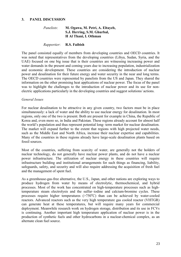#### **3. PANEL DISCUSSION**

#### *Panelists*: **M. Ogawa, M. Petri, A. Eltayeb, S.J. Herring, S.M. Ghurbal, H Al Thani, I. Othman**

#### *Rapportier*: **R.S. Faibish**

The panel consisted equally of members from developing countries and OECD countries. It was noted that representatives from the developing countries (Libya, Sudan, Syria, and the UAE) focused on one big issue that is their countries are witnessing increasing power and water demands in the present and coming years due to increasing population, industrialization and economic development. These countries are considering the introduction of nuclear power and desalination for their future energy and water security in the near and long terms. The OECD countries were represented by panelists from the US and Japan. They shared the information on the other promising heat applications of nuclear power. The focus of the panel was to highlight the challenges to the introduction of nuclear power and its use for nonelectric applications particularly in the developing countries and suggest solutions/ actions.

#### *General Issues*

For nuclear desalination to be attractive in any given country, two factors must be in place simultaneously: a lack of water and the ability to use nuclear energy for desalination. In most regions, only one of the two is present. Both are present for example in China, the Republic of Korea and, even more so, in India and Pakistan. These regions already account for almost half the world's population and thus represent potential long- term market for nuclear desalination. The market will expand further to the extent that regions with high projected water needs, such as the Middle East and North Africa, increase their nuclear expertise and capabilities. Many of the countries in these regions already have large-scale desalination plants based on fossil sources.

Most of the countries, suffering from scarcity of water, are generally not the holders of nuclear technology, do not generally have nuclear power plants, and do not have a nuclear power infrastructure. The utilization of nuclear energy in these countries will require infrastructure building and institutional arrangements for such things as financing, liability, safeguards, safety, and security and will also require addressing the acquisition of fresh fuel and the management of spent fuel.

As a greenhouse-gas-free alternative, the U.S., Japan, and other nations are exploring ways to produce hydrogen from water by means of electrolytic, thermochemical, and hybrid processes. Most of the work has concentrated on high-temperature processes such as hightemperature steam electrolysis and the sulfur–iodine and calcium-bromine cycles. These processes require higher temperatures  $(>750^{\circ}C)$  than can be achieved by water-cooled reactors. Advanced reactors such as the very high temperature gas cooled reactor (VHTGR) can generate heat at these temperatures, but will require many years for commercial deployment. Meanwhile research work on hydrogen storage, distribution and its use in FCVs is continuing. Another important high temperature application of nuclear power is in the production of synthetic fuels and other hydrocarbons in a nuclear-chemical complex, as an alternate clean fuel source.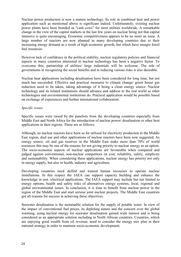Nuclear power production is now a mature technology. Its role in combined heat and power application such as mentioned above is significant indeed. Unfortunately, existing nuclear power plants have been branded as "cash cows" for most utilities worldwide. A remarkable change in the view of the capital markets in the last few years on nuclear being not that capital intensive is quite encouraging. Economic competitiveness appears to be no more an issue. A large number of reactors are now planned in many developing countries due to their increasing energy demand as a result of high economic growth, but which have meagre fossil fuel resources.

However lack of confidence in the political stability, nuclear regulatory policies and financial aspects in many countries interested in nuclear technology has been a negative factor. To overcome this, partnership of utilities/ large industrials will be welcome. The role of governments in recognizing the social benefits and in reducing various risks is also desirable.

Nuclear heat applications including desalination have been considered for long time, but not much has succeeded. Effective and practical measures to climate change/ green house gas reduction need to be taken, taking advantage of it being a clean energy source. Nuclear technology and its related institutions should advance and address to the real world as other technologies and environmental institutions do. Practical application would be possible based on exchange of experiences and further international collaboration.

#### *Specific issues*

Specific issues were raised by the panelists from the developing countries especially from Middle East and North Africa for the introduction of nuclear power/ desalination or other heat applications in their regions. These are as follows;

Although, no nuclear reactors have been so far utilized for electricity production in the Middle East region, dual use and other applications of nuclear reactors have been now suggested. As energy source, oil and gas reserves in the Middle East make more than 70% of world resources this may be one of the reasons for not giving priority to nuclear energy as an option. The socio-economic aspects of nuclear applications are favourable when compared and judged against conventional, non-nuclear competitors on cost, reliability, safety, simplicity and sustainability. When considering these applications, nuclear energy has priority not only in energy supply, but also in health, industry and agriculture.

Developing countries need skilled and trained human recourses to operate nuclear installations. In this respect the IAEA can support capacity building and enhance the knowledge in non -electrical applications. The IAEA support may include but not limited to energy options, health and safety risks of alternatives energy systems, local, regional and global environmental issues. In conclusion, it is time to benefit from nuclear power in the region of the Middle East and start serious joint nuclear projects. The Middle East countries got all reasons for success in achieving these objectives.

Seawater desalination is the sustainable solution for the supply of potable water. In view of the impact of conventional fuel prices, its depleting nature and the concern over the global warming, using nuclear energy for seawater desalination gained wide interest and is being considered as an appropriate solution including in North African countries. Countries, which are enjoying good wealth from oil revenue, need to consider the energy mix plan in their national strategy in order to maintain socio-economic development.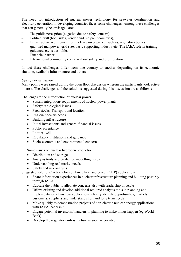The need for introduction of nuclear power technology for seawater desalination and electricity generation in developing countries faces some challenges. Among these challenges that can generally be envisaged are:

- The public perception (negative due to safety concern),
- Political will (both sides, vendor and recipient countries),
- Infrastructure requirement for nuclear power project such as, regulatory bodies, qualified manpower, grid size, basic supporting industry etc. The IAEA role in training, guidance, etc is desirable.
- Financial barrier.
- International community concern about safety and proliferation.

In fact these challenges differ from one country to another depending on its economic situation, available infrastructure and others.

#### *Open floor discussion*

Many points were raised during the open floor discussion wherein the participants took active interest. The challenges and the solutions suggested during this discussion are as follows:

Challenges to the introduction of nuclear power

- System integration/ requirements of nuclear power plants
- Safety/radiological issues
- Feed stocks: Transport and location
- Region-specific needs
- Building infrastructure
- Initial investments and general financial issues
- Public acceptance
- Political will
- Regulatory institutions and guidance
- Socio-economic and environmental concerns

Some issues on nuclear hydrogen production

- Distribution and storage
- Analysis tools and predictive modelling needs
- Understanding real market needs
- Safety and risk analysis

Suggested solutions/ actions for combined heat and power (CHP) applications

- Share information experiences in nuclear infrastructure planning and building possibly through IAEA
- Educate the public to alleviate concerns also with leadership of IAEA
- Utilize existing and develop additional required analysis tools in planning and implementation of nuclear applications: clearly identify opportunities, markets, customers, suppliers and understand short and long term needs
- Move quickly to demonstration projects of non-electric nuclear energy applications with IAEA leadership
- Engage potential investors/financiers in planning to make things happen (eg World Bank)
- Develop the regulatory infrastructure as soon as possible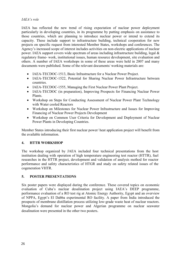#### *IAEA's role*

IAEA has reflected the new trend of rising expectation of nuclear power deployment particularly in developing countries, in its programme by putting emphasis on assistance to those countries, which are planning to introduce nuclear power or intend to extend its capacity. These include support to infrastructure building, technical cooperation for new projects on specific request from interested Member States, workshops and conferences. The Agency's increased scope of interest includes activities on non-electric applications of nuclear power. IAEA support covers wide spectrum of areas including infrastructure building, legal & regulatory frame- work, institutional issues, human resource development, site evaluation and others. A number of IAEA workshops in some of these areas were held in 2007 and many documents were published. Some of the relevant documents/ working materials are:

- IAEA-TECDOC-1513, Basic Infrastructure for a Nuclear Power Project.
- IAEA-TECDOC-1522, Potential for Sharing Nuclear Power Infrastructure between countries.
- IAEA-TECDOC-1555, Managing the First Nuclear Power Plant Project.
- IAEA-TECDOC (in preparation), Improving Prospects for Financing Nuclear Power Plants.
- Workshop on Steps for Conducting Assessment of Nuclear Power Plant Technology with Water cooled Reactors
- Workshop on Milestones for Nuclear Power Infrastructure and Issues for Improving Financing of Nuclear Power Projects Development
- Workshop on Common User Criteria for Development and Deployment of Nuclear Power Plants in Developing Countries.

Member States introducing their first nuclear power/ heat application project will benefit from the available information.

#### **4. HTTR WORKSHOP**

The workshop organized by JAEA included four technical presentations from the host institution dealing with operation of high temperature engineering test reactor (HTTR), fuel researches in the HTTR project, development and validation of analysis method for reactor performance and safety characteristics of HTGR and study on safety related issues of the cogeneration VHTR.

#### **5. POSTER PRESENTATIONS**

Six poster papers were displayed during the conference. These covered topics on economic evaluation of Cuba's nuclear desalination project using IAEA's DEEP programme, performance evaluation of a RO test rig at Atomic Energy Authority, Egypt and an overview of NPPA, Egypt's El Dabba experimental RO facility. A paper from India introduced the prospects of membrane distillation process utilizing low-grade waste heat of nuclear reactors. Mongolia's demand for nuclear power and Algerian programme on nuclear seawater desalination were presented in the other two posters.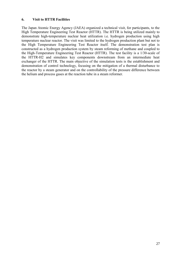#### **6. Visit to HTTR Facilities**

The Japan Atomic Energy Agency (JAEA) organized a technical visit, for participants, to the High Temperature Engineering Test Reactor (HTTR). The HTTR is being utilized mainly to demonstrate high-temperature nuclear heat utilization i.e. hydrogen production using high temperature nuclear reactor. The visit was limited to the hydrogen production plant but not to the High Temperature Engineering Test Reactor itself. The demonstration test plan is constructed as a hydrogen production system by steam reforming of methane and coupled to the High-Temperature Engineering Test Reactor (HTTR). The test facility is a 1/30-scale of the HTTR-H2 and simulates key components downstream from an intermediate heat exchanger of the HTTR. The main objective of the simulation tests is the establishment and demonstration of control technology, focusing on the mitigation of a thermal disturbance to the reactor by a steam generator and on the controllability of the pressure difference between the helium and process gases at the reaction tube in a steam reformer.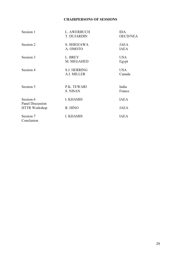#### CHAIRPERSONS OF SESSIONS

| Session 1                     | L. AWERBUCH<br><b>T. DUJARDIN</b>  | <b>IDA</b><br><b>OECD/NEA</b> |
|-------------------------------|------------------------------------|-------------------------------|
| Session 2                     | S. SHIOZAWA<br>A. OMOTO            | <b>JAEA</b><br><b>IAEA</b>    |
| Session 3                     | L. BREY<br>M. MEGAHED              | <b>USA</b><br>Egypt           |
| Session 4                     | <b>S.J. HERRING</b><br>A.I. MILLER | <b>USA</b><br>Canada          |
| Session 5                     | P.K. TEWARI<br>S. NISAN            | India<br>France               |
| Session 6<br>Panel Discussion | <b>I. KHAMIS</b>                   | <b>IAEA</b>                   |
| <b>HTTR Workshop</b>          | R. HINO                            | <b>JAEA</b>                   |
| Session 7<br>Conclusion       | <b>I. KHAMIS</b>                   | <b>IAEA</b>                   |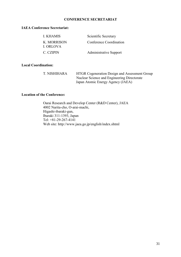#### **CONFERENCE SECRETARIAT**

#### **IAEA Conference Secretariat:**

| <b>I. KHAMIS</b>         | Scientific Secretary          |
|--------------------------|-------------------------------|
| K. MORRISON<br>I. ORLOVA | Conference Coordination       |
| C. CZIPIN                | <b>Administrative Support</b> |

#### **Local Coordination:**

| T. NISHIHARA | HTGR Cogeneration Design and Assessment Group |
|--------------|-----------------------------------------------|
|              | Nuclear Science and Engineering Directorate   |
|              | Japan Atomic Energy Agency (JAEA)             |

#### **Location of the Conference:**

Oarai Research and Develop Center (R&D Center), JAEA 4002 Narita-cho, O-arai-machi, Higashi-ibaraki-gun, Ibaraki 311-1393, Japan Tel: +81-29-267-4141 Web site: http://www.jaea.go.jp/english/index.shtml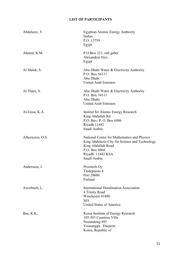#### **LIST OF PARTICIPANTS**

| Abdelaziz, Y.    | <b>Egyptian Atomic Energy Authority</b><br>Inshas<br>P.O. 13759<br>Egypt                                                                                                 |
|------------------|--------------------------------------------------------------------------------------------------------------------------------------------------------------------------|
| Ahmed, K.M.      | P.O.Box 223, sidi gaber<br>Alexandria Alex.<br>Egypt                                                                                                                     |
| Al Malek, S.     | Abu Dhabi Water & Electricity Authority<br>P.O. Box 54111<br>Abu Dhabi<br><b>United Arab Emirates</b>                                                                    |
| Al Thani, S.     | Abu Dhabi Water & Electricity Authority<br>P.O. Box 54111<br>Abu Dhabi<br><b>United Arab Emirates</b>                                                                    |
| Al-Eissa, K.A.   | <b>Institut for Atomic Energy Research</b><br>King Abdullah Rd.<br>P.O. Box: P.O. Box 6086<br>Riyadh 11442<br>Saudi Arabia                                               |
| Alhorayess, O.S. | National Center for Mathematics and Physics<br>King Abdulaziz City for Science and Technology<br>King Abdullah Road<br>P.O. Box 6068<br>Riyadh 11442 KSA<br>Saudi Arabia |
| Andersson, I.    | Prizztech Oy<br>Tiedepuisto 4<br>Pori 28600<br>Finland                                                                                                                   |
| Awerbuch, L.     | <b>International Desalination Association</b><br>4 Trinity Road<br>Winchester 01890<br><b>MA</b><br>United States of America                                             |
| Bae, K.K.        | Korea Institute of Energy Research<br>105-303 Countess Villa<br>Noeundong 495<br>Yousunggu Daejeon<br>Korea, Republic of                                                 |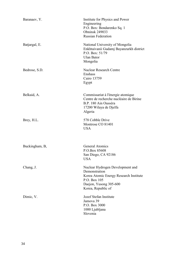| Baranaev, Y.   | Institute for Physics and Power<br>Engineering<br>P.O. Box: Bondarenko Sq. 1<br><b>Obninsk 249033</b><br><b>Russian Federation</b>                          |
|----------------|-------------------------------------------------------------------------------------------------------------------------------------------------------------|
| Batjargal, E.  | National University of Mongolia<br>Enkhtaivanii Gudamj Bayanzurkh district<br>P.O. Box: 51/79<br><b>Ulan Bator</b><br>Mongolia                              |
| Bedrose, S.D.  | <b>Nuclear Research Centre</b><br>Enshass<br>Cairo 13759<br>Egypt                                                                                           |
| Belkaid, A.    | Commissariat à l'énergie atomique<br>Centre de recherche nucléaire de Birine<br>B.P. 180 Ain Ousséra<br>17200 Wilaya de Djelfa<br>Algeria                   |
| Brey, H.L.     | 578 Cobble Drive<br>Montrose CO 81401<br><b>USA</b>                                                                                                         |
| Buckingham, B, | General Atomics<br>P.O.Box 85608<br>San Diego, CA 92186<br><b>USA</b>                                                                                       |
| Chang, J.      | Nuclear Hydrogen Development and<br>Demonstration<br>Korea Atomic Energy Research Institute<br>P.O. Box 105<br>Daejon, Yusong 305-600<br>Korea, Republic of |
| Dimic, V.      | Jozef Stefan Institute<br>Jamova 39<br>P.O. Box 3000<br>1000 Ljubljana<br>Slovenia                                                                          |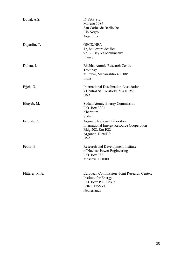| Doval, A.S.    | <b>INVAP S.E.</b><br>Moreno 1089<br>San Carlos de Bariloche<br>Rio Negro<br>Argentina                                                        |
|----------------|----------------------------------------------------------------------------------------------------------------------------------------------|
| Dujardin, T.   | <b>OECD/NEA</b><br>12, boulevard des îles<br>92130 Issy les Moulineaux<br>France                                                             |
| Dulera, I.     | Bhabha Atomic Research Centre<br>Trombay<br>Mumbai, Maharashtra 400 085<br>India                                                             |
| Ejjeh, G.      | <b>International Desalination Association</b><br>7 Central St. Topsfield MA 01983<br><b>USA</b>                                              |
| Eltayeb, M.    | Sudan Atomic Energy Commission<br>P.O. Box 3001<br>Khartoum<br>Sudan                                                                         |
| Faibish, R.    | <b>Argonne National Laboratory</b><br><b>International Energy Resource Cooperation</b><br>Bldg 208, Rm E224<br>Argonne IL60439<br><b>USA</b> |
| Fedor, E       | Research and Development Institute<br>of Nuclear Power Engineering<br>P.O. Box 788<br>Moscow 101000                                          |
| Fütterer, M.A. | European Commission - Joint Research Center,<br>Institute for Energy<br>P.O. Box: P.O. Box 2<br>Petten 1755 ZG<br>Netherlands                |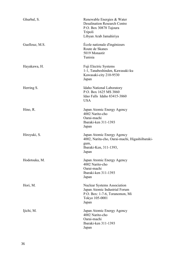| Ghurbal, S.    | Renewable Energies & Water<br><b>Desalination Research Centre</b><br>P.O. Box 30878 Tajoura<br>Tripoli<br>Libyan Arab Jamahiriya |
|----------------|----------------------------------------------------------------------------------------------------------------------------------|
| Guellouz, M.S. | École nationale d'ingénieurs<br>Route de Skanes<br>5019 Monastir<br>Tunisia                                                      |
| Hayakawa, H.   | Fuji Electric Systems<br>1-1, Tanabeshinden, Kawasaki-ku<br>Kawasaki-city 210-9530<br>Japan                                      |
| Herring S.     | Idaho National Laboratory<br>P.O. Box 1625 MS 3860<br>Idao Falls Idaho 83415-3860<br><b>USA</b>                                  |
| Hino, R.       | Japan Atomic Energy Agency<br>4002 Narito-cho<br>Oarai-machi<br>Ibaraki-ken 311-1393<br>Japan                                    |
| Hiroyuki, S.   | Japan Atomic Energy Agency<br>4002, Narita-cho, Oarai-machi, Higashiibaraki-<br>gum,<br>Ibaraki-Ken, 311-1393,<br>Japan          |
| Hodotsuka, M.  | Japan Atomic Energy Agency<br>4002 Narito-cho<br>Oarai-machi<br>Ibaraki-ken 311-1393<br>Japan                                    |
| Hori, M.       | <b>Nuclear Systems Association</b><br>Japan Atomic Industrial Forum<br>P.O. Box: 1-7-6, Toranomon, Mi<br>Tokyo 105-0001<br>Japan |
| Ijichi, M.     | Japan Atomic Energy Agency<br>4002 Narito-cho<br>Oarai-machi<br>Ibaraki-ken 311-1393<br>Japan                                    |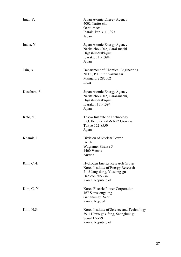| Imai, Y.     | Japan Atomic Energy Agency<br>4002 Narito-cho<br>Oarai-machi<br>Ibaraki-ken 311-1393<br>Japan                                                        |
|--------------|------------------------------------------------------------------------------------------------------------------------------------------------------|
| Inaba, Y.    | Japan Atomic Energy Agency<br>Narita cho 4002, Oarai-machi<br>Higashiibaraki-gun<br>Ibaraki, 311-1394<br>Japan                                       |
| Jain, A.     | Department of Chemical Engineering<br>NITK, P.O. Srinivashnagar<br>Mangalore 282002<br>India                                                         |
| Kasahara, S. | Japan Atomic Energy Agency<br>Narita cho 4002, Oarai-machi,<br>Higashiibaraki-gun,<br>Ibaraki, 311-1394<br>Japan                                     |
| Kato, Y.     | Tokyo Institute of Technology<br>P.O. Box: 2-12-1-N1-22 O-okaya<br>Tokyo 152-8550<br>Japan                                                           |
| Khamis, I.   | Division of Nuclear Power<br><b>IAEA</b><br>Wagramer Strasse 5<br>1400 Vienna<br>Austria                                                             |
| Kim, C.-H.   | <b>Hydrogen Energy Research Group</b><br>Korea Institute of Energy Research<br>71-2 Jang-dong, Yuseong-gu<br>Daejeon 305 - 343<br>Korea, Republic of |
| $Kim, C.-Y.$ | Korea Electric Power Corporation<br>167 Samseongdong<br>Gangnamgu. Seoul<br>Korea, Rep. of                                                           |
| Kim, H.G.    | Korea Institute of Science and Technology<br>39-1 Hawolgok-fong, Seongbuk-gu<br>Seoul 136-791<br>Korea, Republic of                                  |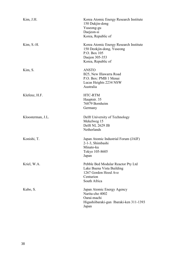| Kim, J.H.         | Korea Atomic Energy Research Institute<br>150 Dukjin-dong<br>Yuseong-gu<br>Daejeon-si<br>Korea, Republic of                 |
|-------------------|-----------------------------------------------------------------------------------------------------------------------------|
| $Kim, S.-H.$      | Korea Atomic Energy Research Institute<br>150 Deokjin-dong, Yuseong<br>P.O. Box 105<br>Daejon 305-353<br>Korea, Republic of |
| Kim, S.           | <b>ANSTO</b><br>B25, New Illawarra Road<br>P.O. Box: PMB 1 Menai<br>Lucas Heights 2234 NSW<br>Australia                     |
| Klefenz, H.F.     | HTC-RTM<br>Hauptstr. 35<br>76879 Bornheim<br>Germany                                                                        |
| Kloosterman, J.L. | Delft University of Technology<br>Mekelweg 15<br>Delft NL 2629 JB<br>Netherlands                                            |
| Konishi, T.       | Japan Atomic Industrial Forum (JAIF)<br>2-1-3, Shimbashi<br>Minato-ku<br>Tokyo 105-8605<br>Japan                            |
| Kriel, W.A.       | Pebble Bed Modular Reactor Pty Ltd<br>Lake Buena Vista Building<br>1267 Gordon Hood Ave<br>Centurion<br>South Africa        |
| Kubo, S.          | Japan Atomic Energy Agency<br>Narita-cho 4002<br>Oarai-machi<br>Higashiibaraki-gun Ibaraki-ken 311-1393<br>Japan            |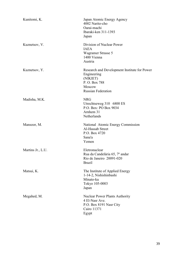| Kunitomi, K.      | Japan Atomic Energy Agency<br>4002 Narito-cho<br>Oarai-machi<br>Ibaraki-ken 311-1393<br>Japan                                  |
|-------------------|--------------------------------------------------------------------------------------------------------------------------------|
| Kuznetsov, V.     | Division of Nuclear Power<br><b>IAEA</b><br>Wagramer Strasse 5<br>1400 Vienna<br>Austria                                       |
| Kuznetsov, Y.     | Research and Development Institute for Power<br>Engineering<br>(NIKIET)<br>P.O. Box 788<br>Moscow<br><b>Russian Federation</b> |
| Madisha, M.K.     | <b>NRG</b><br>Utrechtseweg 310 6800 ES<br>P.O. Box: PO Box 9034<br>Arnhem 31<br>Netherlands                                    |
| Mansoor, M.       | National Atomic Energy Commission<br>Al-Hassab Street<br>P.O. Box 4720<br>Sana'a<br>Yemen                                      |
| Martins Jr., L.U. | Eletronuclear<br>Rua da Candelária 65, 7º andar<br>Rio de Janeiro 20091-020<br><b>Brazil</b>                                   |
| Matsui, K.        | The Institute of Applied Energy<br>1-14-2, Nishishinbashi<br>Minato-ku<br>Tokyo 105-0003<br>Japan                              |
| Megahed, M.       | <b>Nuclear Power Plants Authority</b><br>4 El-Nasr Ave.<br>P.O. Box 8191 Nasr City<br>Cairo 11371<br>Egypt                     |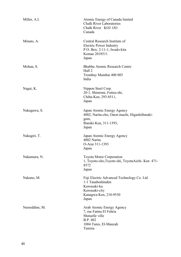| Miller, A.I.   | Atomic Energy of Canada limited<br><b>Chalk River Laboratories</b><br>Chalk River KOJ 1JO<br>Canada                              |
|----------------|----------------------------------------------------------------------------------------------------------------------------------|
| Minato, A.     | Central Research Institute of<br><b>Electric Power Industry</b><br>P.O. Box: 2-11-1, Iwado-kita<br>Komae 2018511<br>Japan        |
| Mohan, S.      | Bhabha Atomic Research Centre<br>Hall 2<br>Trombay Mumbai 400 085<br>India                                                       |
| Nagai, K.      | Nippon Steel Corp.<br>20-1, Shintomi, Futtsu-shi,<br>Chiba-Ken, 293-8511,<br>Japan                                               |
| Nakagawa, S.   | Japan Atomic Energy Agency<br>4002, Narita-cho, Oarai-machi, Higashiibaraki-<br>gum,<br>Ibaraki-Ken, 311-1393,<br>Japan          |
| Nakagiri, T.   | Japan Atomic Energy Agency<br>4002 Narita<br>O-Arai 311-1393<br>Japan                                                            |
| Nakamura, N.   | <b>Toyota Motor Corporation</b><br>1, Toyoto-cho, Toyoto-shi, Toyota Aichi-Ken 471-<br>8572<br>Japan                             |
| Nakano, M.     | Fuji Electric Advanced Technology Co. Ltd<br>1-1 Tanabeshinden<br>Kawasaki-ku<br>Kawasaki-city<br>Kanagwa-Ken, 210-9530<br>Japan |
| Nasreddine, M. | Arab Atomic Energy Agency<br>7, rue Fatma El Fehria<br>Mutuelle ville<br>B.P. 402<br>1004 Tunis, El-Manzah<br>Tunisia            |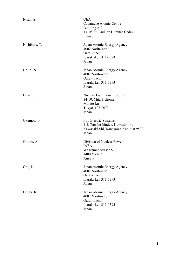| Nisan, S.     | <b>CEA</b><br>Cadarache Atomic Centre<br>Building 212<br>13108 St. Paul lez Durance Cedex<br>France      |
|---------------|----------------------------------------------------------------------------------------------------------|
| Nishihara, T. | Japan Atomic Energy Agency<br>4002 Narita-cho<br>Oarai-machi<br>Ibaraki-ken 311-1393<br>Japan            |
| Nojiri, N.    | Japan Atomic Energy Agency<br>4002 Narito-cho<br>Oarai-machi<br>Ibaraki-ken 311-1393<br>Japan            |
| Ohashi, J.    | Nuclear Fuel Industries, Ltd.<br>14-10, Mita 3-chome<br>Minato-ku<br>Tokyo, 108-0073<br>Japan            |
| Okamoto, F.   | Fuji Electric Systems<br>1-1, Tanabeshinden, Kawasaki-ku<br>Kawasaki-Shi, Kanagawa-Ken 210-9530<br>Japan |
| Omoto, A.     | Division of Nuclear Power<br><b>IAEA</b><br>Wagramer Strasse 5<br>1400 Vienna<br>Austria                 |
| Ono, K.       | Japan Atomic Energy Agency<br>4002 Narita-cho<br>Oarai-machi<br>Ibaraki-ken 311-1393<br>Japan            |
| Onuki, K.     | Japan Atomic Energy Agency<br>4002 Narito-cho<br>Oarai-machi<br>Ibaraki-ken 311-1393<br>Japan            |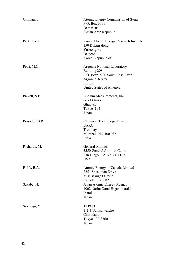| Othman, I.     | Atomic Energy Commission of Syria<br>P.O. Box 6091<br>Damascus<br>Syrian Arab Republic                                                                      |
|----------------|-------------------------------------------------------------------------------------------------------------------------------------------------------------|
| Park, K.-B.    | Korea Atomic Energy Research Institute<br>150 Dukjin-dong<br>Yuseong-ku<br>Daejeon<br>Korea, Republic of                                                    |
| Petri, M.C.    | <b>Argonne National Laboratory</b><br>Building 208<br>P.O. Box: 9700 South Cass Aven<br>Argonne 60439<br><b>Illinois</b><br><b>United States of America</b> |
| Pickett, S.E.  | Ludlum Measurements, Inc.<br>6-6-1 Ginza<br>Ghuo-ku<br>Tokyo 104<br>Japan                                                                                   |
| Prasad, C.S.R. | <b>Chemical Technology Division</b><br><b>BARC</b><br>Trombay<br>Mumbai PIN 400 085<br>India                                                                |
| Richards, M.   | <b>General Atomics</b><br>3550 General Atomics Court<br>San Diego CA 92121-1122<br><b>USA</b>                                                               |
| Rolfe, B.A.    | Atomic Energy of Canada Limited<br>2251 Speakman Drive<br>Mississauga Ontario<br>Canada L5K 1B2                                                             |
| Sakaba, N.     | Japan Atomic Energy Agency<br>4002 Narita Oarai Higahiibaraki<br>Ibaraki<br>Japan                                                                           |
| Sakuragi, Y.   | <b>TEPCO</b><br>1-1-3 Uchisaiwaicho<br>Chiyodaku<br>Tokyo 100-8560<br>Japan                                                                                 |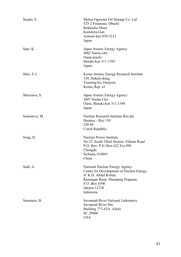| Sasaki, S.   | Mutsu-Ogawara Oil Storage Co. Ltd<br>525-2 Futamata, Obuchi<br>Rokkasho-Mura<br>Kamikita-Gun<br>Aomori-ken 039-3212<br>Japan                                                          |
|--------------|---------------------------------------------------------------------------------------------------------------------------------------------------------------------------------------|
| Sato, K.     | Japan Atomic Energy Agency<br>4002 Narito-cho<br>Oarai-machi<br>Ibaraki-ken 311-1393<br>Japan                                                                                         |
| Shin, Y.J.   | Korea Atomic Energy Research Institute<br>150, Dukjin-dong,<br>Yuseong-ku, Daejeon,<br>Korea, Rep. of                                                                                 |
| Shiozawa, S. | Japan Atomic Energy Agency<br>3607 Narita-Cho<br>Oarai, Ibaraki-ken 311-1394<br>Japan                                                                                                 |
| Somolova, M. | Nuclear Research Institute Rez plc<br>Husinec - Rez 130<br>250 68<br>Czech Republic                                                                                                   |
| Song, D.     | <b>Nuclear Power Institute</b><br>No.25, South Third Section Erhuan Road<br>P.O. Box: P.O. Box 622 Ext.500<br>Chengdu<br>Sichuan, 610041<br>China                                     |
| Sudi, A.     | National Nuclear Energy Agency<br>Centre for Development of Nuclear Energy<br>Jl. K.H. Abdul Rohim<br>Kuningan Barat, Mampang Prapatan<br>P.O. Box 4390<br>Jakarta 12710<br>Indonesia |
| Summers, B.  | Savannah River National Laboratory<br>Savannah River Site<br>Building 773-42A Aiken<br>SC 29808<br><b>USA</b>                                                                         |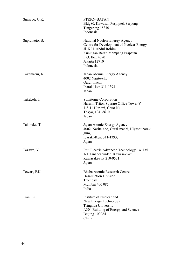| Sunaryo, G.R. | PTRKN-BATAN<br>Bldg80, Kawasan Puspiptek Serpong<br>Tangerang 15310<br>Indonesia                                                                                                      |
|---------------|---------------------------------------------------------------------------------------------------------------------------------------------------------------------------------------|
| Suprawoto, B. | National Nuclear Energy Agency<br>Centre for Development of Nuclear Energy<br>Jl. K.H. Abdul Rohim<br>Kuningan Barat, Mampang Prapatan<br>P.O. Box 4390<br>Jakarta 12710<br>Indonesia |
| Takamatsu, K. | Japan Atomic Energy Agency<br>4002 Narito-cho<br>Oarai-machi<br>Ibaraki-ken 311-1393<br>Japan                                                                                         |
| Takekoh, I.   | Sumitome Corporation<br>Harumi Triton Squrare Office Tower Y<br>1-8-11 Harumi, Chuo-Ku,<br>Tokyo, 104-8610,<br>Japan                                                                  |
| Takizuka, T.  | Japan Atomic Energy Agency<br>4002, Narita-cho, Oarai-machi, Higashiibaraki-<br>gum,<br>Ibaraki-Ken, 311-1393,<br>Japan                                                               |
| Tazawa, Y.    | Fuji Electric Advanced Technology Co. Ltd<br>1-1 Tanabeshinden, Kawasaki-ku<br>Kawasaki-city 210-9531<br>Japan                                                                        |
| Tewari, P.K.  | Bhaba Atomic Research Centre<br><b>Desalination Division</b><br>Trombay<br>Mumbai 400 085<br>India                                                                                    |
| Tian, Li.     | Institute of Nuclear and<br>New Energy Technology<br>Tsinghua University<br>A304 Building of Energy and Science<br>Beijing 100084<br>China                                            |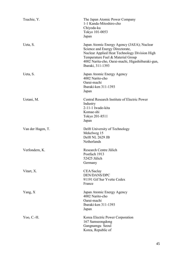| Tsuchie, Y.       | The Japan Atomic Power Company<br>1-1 Kanda-Mitoshiro-cho<br>Chiyoda-ku<br>Tokyo 101-0053<br>Japan                                                                                                                                            |
|-------------------|-----------------------------------------------------------------------------------------------------------------------------------------------------------------------------------------------------------------------------------------------|
| Ueta, S.          | Japan Atomic Energy Agency (JAEA); Nuclear<br>Science and Energy Directorate,<br>Nuclear Applied Heat Technology Division High<br>Temperature Fuel & Material Group<br>4002 Narita-cho, Oarai-machi, Higashiibaraki-gun,<br>Ibaraki, 311-1393 |
| Ueta, S.          | Japan Atomic Energy Agency<br>4002 Narito-cho<br>Oarai-machi<br>Ibaraki-ken 311-1393<br>Japan                                                                                                                                                 |
| Uotani, M.        | Central Research Institute of Electric Power<br>Industry<br>2-11-1 Iwado-kita<br>Komae-shi<br>Tokyo 201-8511<br>Japan                                                                                                                         |
| Van der Hagen, T. | Delft University of Technology<br>Mekelweg 15<br>Delft NL 2629 JB<br>Netherlands                                                                                                                                                              |
| Verfondern, K.    | Research Centre Jülich<br>Postfach 1913<br>52425 Jülich<br>Germany                                                                                                                                                                            |
| Vitart, X.        | CEA/Saclay<br><b>DEN/DANS/DPC</b><br>91191 Gif Sur Yvette Cedex<br>France                                                                                                                                                                     |
| Yang, $X$         | Japan Atomic Energy Agency<br>4002 Narito-cho<br>Oarai-machi<br>Ibaraki-ken 311-1393<br>Japan                                                                                                                                                 |
| Yoo, C.-H.        | Korea Electric Power Corporation<br>167 Samseongdong<br>Gangnamgu Seoul<br>Korea, Republic of                                                                                                                                                 |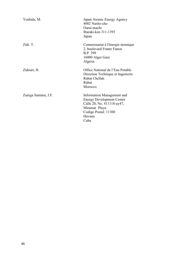| Yoshida, M.          | Japan Atomic Energy Agency<br>4002 Narito-cho<br>Oarai-machi<br>Ibaraki-ken 311-1393<br>Japan                                                           |
|----------------------|---------------------------------------------------------------------------------------------------------------------------------------------------------|
| Zidi. T.             | Commissariat à l'énergie atomique<br>2, boulevard Frantz Fanon<br>B.P. 399<br>16000 Alger Gare<br>Algeria                                               |
| Zidouri, H.          | Office National de l'Eau Potable<br>Direction Technique et Ingenierie<br>Rabat Chellah<br>Rabat<br>Morocco                                              |
| Zuniga Santana, J.F. | Information Management and<br><b>Energy Development Center</b><br>Calle 20, No. 411118-ay47,<br>Miramar Playa<br>Codigo Postal: 11300<br>Havana<br>Cuba |